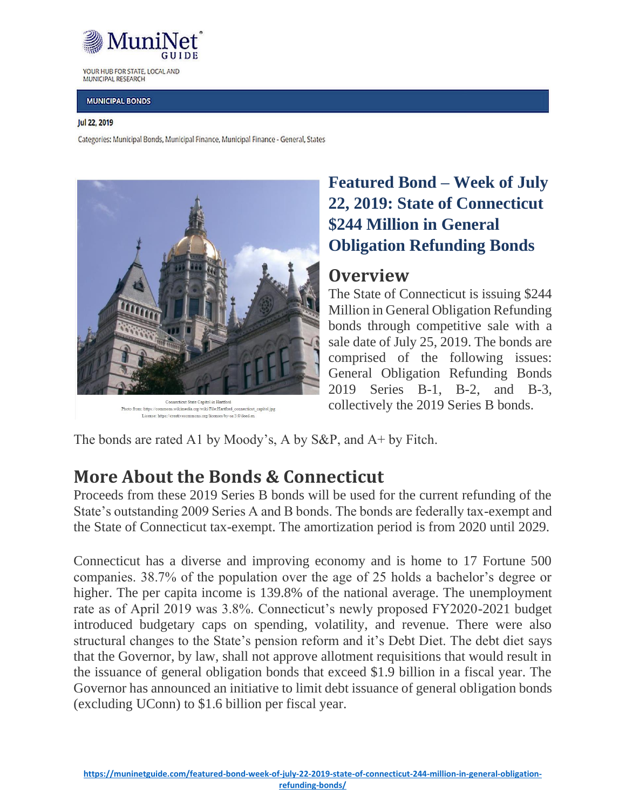

YOUR HUB FOR STATE, LOCAL AND MUNICIPAL RESEARCH

#### **MUNICIPAL BONDS**

#### Jul 22, 2019

Categories: Municipal Bonds, Municipal Finance, Municipal Finance - General, States



mons.wikimedia.org/wiki/File:Hartford connecticut capitol.jpg Photo from: https://c License: https://creativecommons.org/licenses/by-sa/3.0/deed.en

## **Featured Bond – Week of July 22, 2019: State of Connecticut \$244 Million in General Obligation Refunding Bonds**

### **Overview**

The State of Connecticut is issuing \$244 Million in General Obligation Refunding bonds through competitive sale with a sale date of July 25, 2019. The bonds are comprised of the following issues: General Obligation Refunding Bonds 2019 Series B-1, B-2, and B-3, collectively the 2019 Series B bonds.

The bonds are rated A1 by Moody's, A by S&P, and A+ by Fitch.

## **More About the Bonds & Connecticut**

Proceeds from these 2019 Series B bonds will be used for the current refunding of the State's outstanding 2009 Series A and B bonds. The bonds are federally tax-exempt and the State of Connecticut tax-exempt. The amortization period is from 2020 until 2029.

Connecticut has a diverse and improving economy and is home to 17 Fortune 500 companies. 38.7% of the population over the age of 25 holds a bachelor's degree or higher. The per capita income is 139.8% of the national average. The unemployment rate as of April 2019 was 3.8%. Connecticut's newly proposed FY2020-2021 budget introduced budgetary caps on spending, volatility, and revenue. There were also structural changes to the State's pension reform and it's Debt Diet. The debt diet says that the Governor, by law, shall not approve allotment requisitions that would result in the issuance of general obligation bonds that exceed \$1.9 billion in a fiscal year. The Governor has announced an initiative to limit debt issuance of general obligation bonds (excluding UConn) to \$1.6 billion per fiscal year.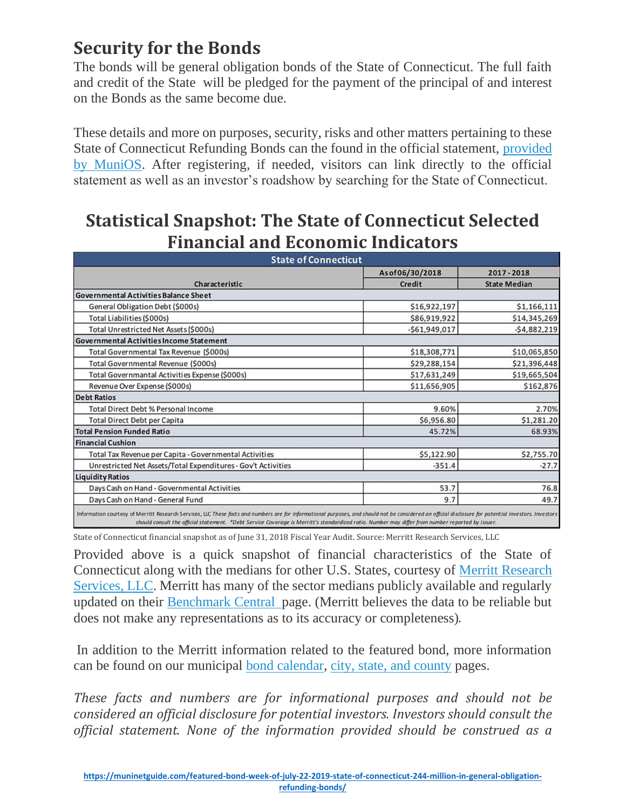# **Security for the Bonds**

The bonds will be general obligation bonds of the State of Connecticut. The full faith and credit of the State will be pledged for the payment of the principal of and interest on the Bonds as the same become due.

These details and more on purposes, security, risks and other matters pertaining to these State of Connecticut Refunding Bonds can the found in the official statement, [provided](https://www.munios.com/munios-notice.aspx?e=VA0WN) by [MuniOS.](https://www.munios.com/munios-notice.aspx?e=VA0WN) After registering, if needed, visitors can link directly to the official statement as well as an investor's roadshow by searching for the State of Connecticut.

## **Statistical Snapshot: The State of Connecticut Selected Financial and Economic Indicators**

| <b>State of Connecticut</b>                                   |                          |                                  |
|---------------------------------------------------------------|--------------------------|----------------------------------|
| <b>Characteristic</b>                                         | Asof06/30/2018<br>Credit | 2017-2018<br><b>State Median</b> |
|                                                               |                          |                                  |
| General Obligation Debt (\$000s)                              | \$16,922,197             | \$1,166,111                      |
| Total Liabilities (\$000s)                                    | \$86,919,922             | \$14,345,269                     |
| Total Unrestricted Net Assets (\$000s)                        | $-$61,949,017$           | $-54,882,219$                    |
| <b>Governmental Activities Income Statement</b>               |                          |                                  |
| Total Governmental Tax Revenue (\$000s)                       | \$18,308,771             | \$10,065,850                     |
| Total Governmental Revenue (\$000s)                           | \$29,288,154             | \$21,396,448                     |
| Total Governmantal Activities Expense (\$000s)                | \$17,631,249             | \$19,665,504                     |
| Revenue Over Expense (\$000s)                                 | \$11,656,905             | \$162,876                        |
| <b>Debt Ratios</b>                                            |                          |                                  |
| <b>Total Direct Debt % Personal Income</b>                    | 9.60%                    | 2.70%                            |
| <b>Total Direct Debt per Capita</b>                           | \$6,956.80               | \$1,281.20                       |
| <b>Total Pension Funded Ratio</b>                             | 45.72%                   | 68.93%                           |
| <b>Financial Cushion</b>                                      |                          |                                  |
| Total Tax Revenue per Capita - Governmental Activities        | \$5,122.90               | \$2,755.70                       |
| Unrestricted Net Assets/Total Expenditures - Gov't Activities | $-351.4$                 | $-27.7$                          |
| <b>Liquidity Ratios</b>                                       |                          |                                  |
| Days Cash on Hand - Governmental Activities                   | 53.7                     | 76.8                             |
| Days Cash on Hand - General Fund                              | 9.7                      | 49.7                             |

State of Connecticut financial snapshot as of June 31, 2018 Fiscal Year Audit. Source: Merritt Research Services, LLC

Provided above is a quick snapshot of financial characteristics of the State of Connecticut along with the medians for other U.S. States, courtesy of Merritt [Research](https://www.merrittresearch.com/) [Services,](https://www.merrittresearch.com/) LLC. Merritt has many of the sector medians publicly available and regularly updated on their [Benchmark](https://www.merrittresearch.com/benchmark-central) Central page. (Merritt believes the data to be reliable but does not make any representations as to its accuracy or completeness)*.*

In addition to the Merritt information related to the featured bond, more information can be found on our municipal bond [calendar,](https://muninetguide.com/municipal-finance/municipal-bond-calendar/) city, state, and [county](https://muninetguide.com/cities-states/) pages.

*These facts and numbers are for informational purposes and should not be considered an official disclosure for potential investors. Investors should consult the official statement. None of the information provided should be construed as a*